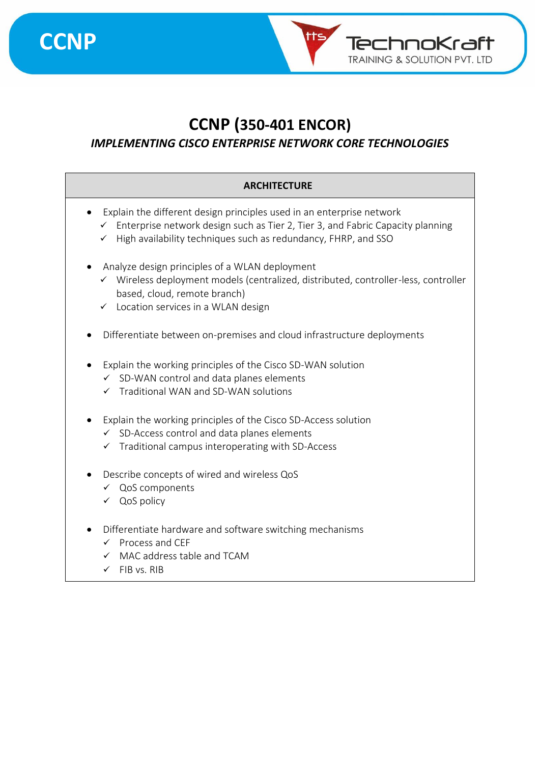

TechnoKraft **TRAINING & SOLUTION PVT. LTD** 

### *IMPLEMENTING CISCO ENTERPRISE NETWORK CORE TECHNOLOGIES*

#### **ARCHITECTURE**

- Explain the different design principles used in an enterprise network
	- ✓ Enterprise network design such as Tier 2, Tier 3, and Fabric Capacity planning
	- ✓ High availability techniques such as redundancy, FHRP, and SSO
- Analyze design principles of a WLAN deployment
	- ✓ Wireless deployment models (centralized, distributed, controller-less, controller based, cloud, remote branch)
	- ✓ Location services in a WLAN design
- Differentiate between on-premises and cloud infrastructure deployments
- Explain the working principles of the Cisco SD-WAN solution
	- $\checkmark$  SD-WAN control and data planes elements
	- ✓ Traditional WAN and SD-WAN solutions
- Explain the working principles of the Cisco SD-Access solution
	- ✓ SD-Access control and data planes elements
	- ✓ Traditional campus interoperating with SD-Access
- Describe concepts of wired and wireless QoS
	- ✓ QoS components
	- ✓ QoS policy
- Differentiate hardware and software switching mechanisms
	- ✓ Process and CEF
	- ✓ MAC address table and TCAM
	- $\checkmark$  FIB vs. RIB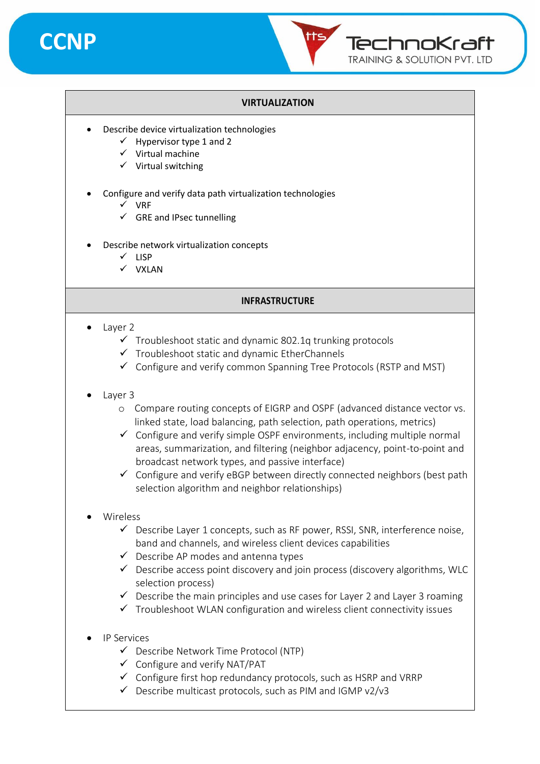



#### **VIRTUALIZATION**

- Describe device virtualization technologies
	- $\checkmark$  Hypervisor type 1 and 2
	- ✓ Virtual machine
	- ✓ Virtual switching
- Configure and verify data path virtualization technologies
	- ✓ VRF
	- $\checkmark$  GRE and IPsec tunnelling
- Describe network virtualization concepts
	- ✓ LISP
	- ✓ VXLAN

#### **INFRASTRUCTURE**

- Layer 2
	- $\checkmark$  Troubleshoot static and dynamic 802.1q trunking protocols
	- ✓ Troubleshoot static and dynamic EtherChannels
	- $\checkmark$  Configure and verify common Spanning Tree Protocols (RSTP and MST)
- Layer 3
	- o Compare routing concepts of EIGRP and OSPF (advanced distance vector vs. linked state, load balancing, path selection, path operations, metrics)
	- $\checkmark$  Configure and verify simple OSPF environments, including multiple normal areas, summarization, and filtering (neighbor adjacency, point-to-point and broadcast network types, and passive interface)
	- $\checkmark$  Configure and verify eBGP between directly connected neighbors (best path selection algorithm and neighbor relationships)
- Wireless
	- $\checkmark$  Describe Layer 1 concepts, such as RF power, RSSI, SNR, interference noise, band and channels, and wireless client devices capabilities
	- $\checkmark$  Describe AP modes and antenna types
	- $\checkmark$  Describe access point discovery and join process (discovery algorithms, WLC selection process)
	- $\checkmark$  Describe the main principles and use cases for Layer 2 and Layer 3 roaming
	- $\checkmark$  Troubleshoot WLAN configuration and wireless client connectivity issues
- IP Services
	- ✓ Describe Network Time Protocol (NTP)
	- $\checkmark$  Configure and verify NAT/PAT
	- $\checkmark$  Configure first hop redundancy protocols, such as HSRP and VRRP
	- $\checkmark$  Describe multicast protocols, such as PIM and IGMP v2/v3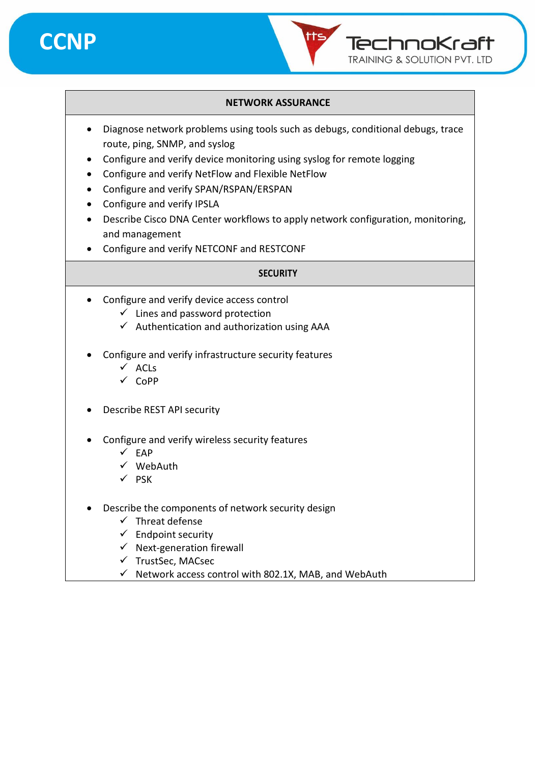



#### **NETWORK ASSURANCE**

- Diagnose network problems using tools such as debugs, conditional debugs, trace route, ping, SNMP, and syslog
- Configure and verify device monitoring using syslog for remote logging
- Configure and verify NetFlow and Flexible NetFlow
- Configure and verify SPAN/RSPAN/ERSPAN
- Configure and verify IPSLA
- Describe Cisco DNA Center workflows to apply network configuration, monitoring, and management
- Configure and verify NETCONF and RESTCONF

#### **SECURITY**

- Configure and verify device access control
	- $\checkmark$  Lines and password protection
	- $\checkmark$  Authentication and authorization using AAA
- Configure and verify infrastructure security features
	- ✓ ACLs
	- ✓ CoPP
- Describe REST API security
- Configure and verify wireless security features
	- $\times$  EAP
	- ✓ WebAuth
	- ✓ PSK
- Describe the components of network security design
	- $\checkmark$  Threat defense
	- $\checkmark$  Endpoint security
	- $\checkmark$  Next-generation firewall
	- ✓ TrustSec, MACsec
	- $\checkmark$  Network access control with 802.1X, MAB, and WebAuth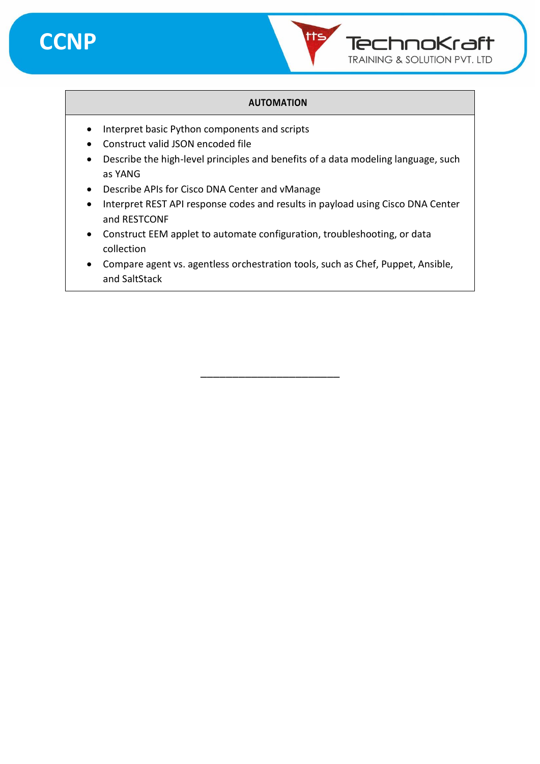



#### **AUTOMATION**

- Interpret basic Python components and scripts
- Construct valid JSON encoded file
- Describe the high-level principles and benefits of a data modeling language, such as YANG
- Describe APIs for Cisco DNA Center and vManage
- Interpret REST API response codes and results in payload using Cisco DNA Center and RESTCONF
- Construct EEM applet to automate configuration, troubleshooting, or data collection
- Compare agent vs. agentless orchestration tools, such as Chef, Puppet, Ansible, and SaltStack

\_\_\_\_\_\_\_\_\_\_\_\_\_\_\_\_\_\_\_\_\_\_